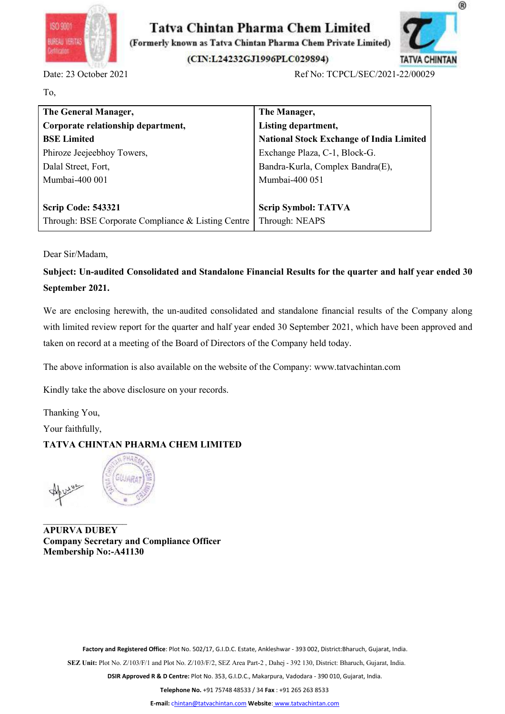



| ISO 9001<br>BUREAU VERITA<br>shekare                                                                           | Tatva Chintan Pharma Chem Limited<br>(Formerly known as Tatva Chintan Pharma Chem Private Limited) |
|----------------------------------------------------------------------------------------------------------------|----------------------------------------------------------------------------------------------------|
|                                                                                                                | (CIN:L24232GJ1996PLC029894)<br><b>TATVA CHINTAN</b>                                                |
| Date: 23 October 2021                                                                                          | Ref No: TCPCL/SEC/2021-22/00029                                                                    |
| To,                                                                                                            |                                                                                                    |
| The General Manager,                                                                                           | The Manager,                                                                                       |
| Corporate relationship department,                                                                             | Listing department,                                                                                |
| <b>BSE</b> Limited                                                                                             | <b>National Stock Exchange of India Limited</b>                                                    |
| Phiroze Jeejeebhoy Towers,                                                                                     | Exchange Plaza, C-1, Block-G.                                                                      |
| Dalal Street, Fort,                                                                                            | Bandra-Kurla, Complex Bandra(E),                                                                   |
| Mumbai-400 001                                                                                                 | Mumbai-400 051                                                                                     |
| <b>Scrip Code: 543321</b>                                                                                      | <b>Scrip Symbol: TATVA</b>                                                                         |
| Through: BSE Corporate Compliance & Listing Centre                                                             | Through: NEAPS                                                                                     |
|                                                                                                                |                                                                                                    |
| Dear Sir/Madam,                                                                                                |                                                                                                    |
| Subject: Un-audited Consolidated and Standalone Financial Results for the quarter and half year ended 30       |                                                                                                    |
| September 2021.                                                                                                |                                                                                                    |
| We are enclosing herewith, the un-audited consolidated and standalone financial results of the Company along   |                                                                                                    |
| with limited review report for the quarter and half year ended 30 September 2021, which have been approved and |                                                                                                    |
|                                                                                                                |                                                                                                    |
| taken on record at a meeting of the Board of Directors of the Company held today.                              |                                                                                                    |
| The above information is also available on the website of the Company: www.tatvachintan.com                    |                                                                                                    |
| Kindly take the above disclosure on your records.                                                              |                                                                                                    |
| Thanking You,                                                                                                  |                                                                                                    |
| Your faithfully,                                                                                               |                                                                                                    |
| <b>TATVA CHINTAN PHARMA CHEM LIMITED</b>                                                                       |                                                                                                    |

Scrip Code: 543321<br>
Through: BSE Corporate Compliance & Listing Centre<br>
Through: NEAPS<br>
Dear Sir/Madam,<br>
Subject: Un-audited Consolidated and Standalone Financial Results for the que<br>
September 2021.<br>
We are enclosing here Strip Coute: 345521<br>
Through: BSE Corporate Compliance & Listing Centre Through: NEAPS<br>
Dear Sir/Madam,<br>
Subject: Un-audited Consolidated and Standalone Financial Results for the<br>
September 2021.<br>
We are enclosing herewith Dear Sir/Madam,<br>
Dear Sir/Madam,<br>
Subject: Un-audited Consolidated and Standalone Financial Results for the quarter and half year ended 30<br>
September 2021.<br>
We are enclosing herewith, the un-audited consolidated and standa We are enclosing nerewith, the un-audited consolidated and standalone financial result with limited review report for the quarter and half year ended 30 September 2021, we taken on record at a meeting of the Board of Direc with limited review report for the quarter and half year ended 30 September 2021, which have been approved and<br>taken on record at a meeting of the Board of Directors of the Company held today.<br>The above information is also taken on record at a meeting of the Board of Directors of the Company held today.<br>The above information is also available on the website of the Company: www.tatvachint<br>Kindly take the above disclosure on your records.<br>Than





FIRINTAN PHARMA CHEM LIMITED<br>
SULLERY<br>
Secretary and Compliance Officer<br>
Factory and Registered Office: Plot No. 502/17, G.I.D.C. Estate, Ankleshwar - 393 002, District:Bharuch, Gujarat, India.<br>
Plot No. 7/103/F/I and Plut SEZ Unit: Plat No. Z-103/F/1 and Plot No. 202/17, GJ.D.C. Estate, Ankleshwar - 393 002, District: Bharuch, Gujarat, India.<br>
SEZ Unit: Plot No. 2/103/F/2, and Plot No. 202/17, GJ.D.C. Estate, Ankleshwar - 393 002, District: EVAMENT SERVER APPROVED RESERVED RELATED RANGERS AND MANUSCRIPT UNITS ARE CONTROLLED AND RESERVED RELATED AND RELATED RELATED RELATED RANGERS AND DESCRIPT UNITS AND RELATED RANGERS AND RELATED RELATED RANGERS AND DESCRIPT

1<br>That No. 502/17, G.I.D.C. Estate, Ankleshwar - 393 002, District:Bharuch, Gujarat, India.<br>1 Plot No. 2/103/F/2, SEZ Area Part-2 , Dahej - 392 130, District: Bharuch, Gujarat, India.<br>10 Centre: Plot No. 353, G.I.D.C., Mak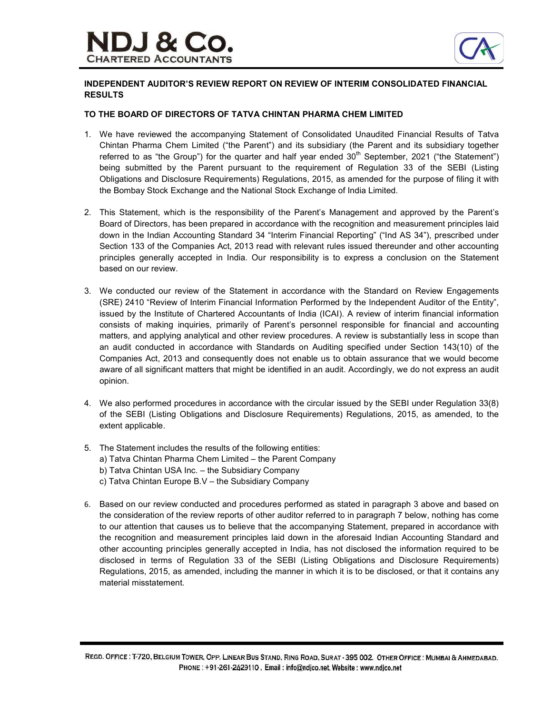

# INDEPENDENT AUDITOR'S REVIEW REPORT ON REVIEW OF INTERIM CONSOLIDATED FINANCIAL RESULTS

# TO THE BOARD OF DIRECTORS OF TATVA CHINTAN PHARMA CHEM LIMITED

- 1. We have reviewed the accompanying Statement of Consolidated Unaudited Financial Results of Tatva Chintan Pharma Chem Limited ("the Parent") and its subsidiary (the Parent and its subsidiary together referred to as "the Group") for the quarter and half year ended  $30<sup>th</sup>$  September, 2021 ("the Statement") being submitted by the Parent pursuant to the requirement of Regulation 33 of the SEBI (Listing Obligations and Disclosure Requirements) Regulations, 2015, as amended for the purpose of filing it with the Bombay Stock Exchange and the National Stock Exchange of India Limited.
- 2. This Statement, which is the responsibility of the Parent's Management and approved by the Parent's Board of Directors, has been prepared in accordance with the recognition and measurement principles laid down in the Indian Accounting Standard 34 "Interim Financial Reporting" ("Ind AS 34"), prescribed under Section 133 of the Companies Act, 2013 read with relevant rules issued thereunder and other accounting principles generally accepted in India. Our responsibility is to express a conclusion on the Statement based on our review.
- 3. We conducted our review of the Statement in accordance with the Standard on Review Engagements (SRE) 2410 "Review of Interim Financial Information Performed by the Independent Auditor of the Entity", issued by the Institute of Chartered Accountants of India (ICAI). A review of interim financial information consists of making inquiries, primarily of Parent's personnel responsible for financial and accounting matters, and applying analytical and other review procedures. A review is substantially less in scope than an audit conducted in accordance with Standards on Auditing specified under Section 143(10) of the Companies Act, 2013 and consequently does not enable us to obtain assurance that we would become aware of all significant matters that might be identified in an audit. Accordingly, we do not express an audit opinion.
- 4. We also performed procedures in accordance with the circular issued by the SEBI under Regulation 33(8) of the SEBI (Listing Obligations and Disclosure Requirements) Regulations, 2015, as amended, to the extent applicable.
- 5. The Statement includes the results of the following entities:
	- a) Tatva Chintan Pharma Chem Limited the Parent Company
	- b) Tatva Chintan USA Inc. the Subsidiary Company
	- c) Tatva Chintan Europe B.V the Subsidiary Company
- 6. Based on our review conducted and procedures performed as stated in paragraph 3 above and based on the consideration of the review reports of other auditor referred to in paragraph 7 below, nothing has come to our attention that causes us to believe that the accompanying Statement, prepared in accordance with the recognition and measurement principles laid down in the aforesaid Indian Accounting Standard and other accounting principles generally accepted in India, has not disclosed the information required to be disclosed in terms of Regulation 33 of the SEBI (Listing Obligations and Disclosure Requirements) Regulations, 2015, as amended, including the manner in which it is to be disclosed, or that it contains any material misstatement.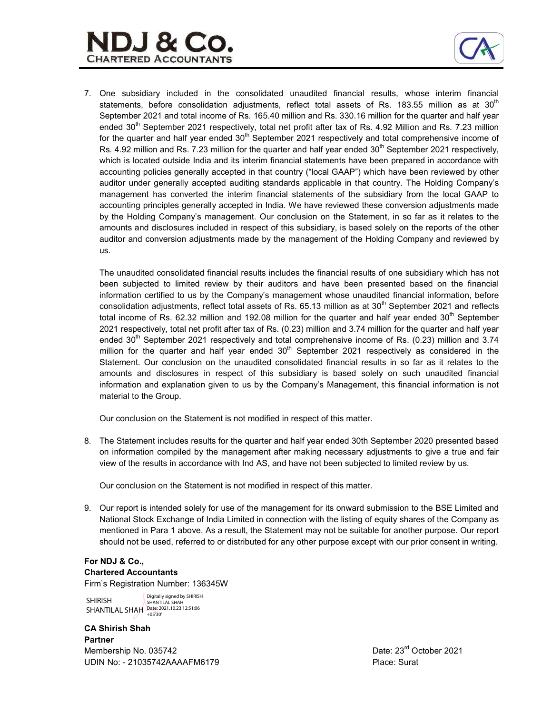

7. One subsidiary included in the consolidated unaudited financial results, whose interim financial statements, before consolidation adjustments, reflect total assets of Rs. 183.55 million as at 30<sup>th</sup> September 2021 and total income of Rs. 165.40 million and Rs. 330.16 million for the quarter and half year ended 30<sup>th</sup> September 2021 respectively, total net profit after tax of Rs. 4.92 Million and Rs. 7.23 million for the quarter and half year ended  $30<sup>th</sup>$  September 2021 respectively and total comprehensive income of Rs. 4.92 million and Rs. 7.23 million for the quarter and half year ended 30<sup>th</sup> September 2021 respectively, which is located outside India and its interim financial statements have been prepared in accordance with accounting policies generally accepted in that country ("local GAAP") which have been reviewed by other auditor under generally accepted auditing standards applicable in that country. The Holding Company's management has converted the interim financial statements of the subsidiary from the local GAAP to accounting principles generally accepted in India. We have reviewed these conversion adjustments made by the Holding Company's management. Our conclusion on the Statement, in so far as it relates to the amounts and disclosures included in respect of this subsidiary, is based solely on the reports of the other auditor and conversion adjustments made by the management of the Holding Company and reviewed by us.

The unaudited consolidated financial results includes the financial results of one subsidiary which has not been subjected to limited review by their auditors and have been presented based on the financial information certified to us by the Company's management whose unaudited financial information, before consolidation adjustments, reflect total assets of Rs.  $65.13$  million as at  $30<sup>th</sup>$  September 2021 and reflects total income of Rs. 62.32 million and 192.08 million for the quarter and half year ended  $30<sup>th</sup>$  September 2021 respectively, total net profit after tax of Rs. (0.23) million and 3.74 million for the quarter and half year ended  $30<sup>th</sup>$  September 2021 respectively and total comprehensive income of Rs. (0.23) million and 3.74 million for the quarter and half year ended  $30<sup>th</sup>$  September 2021 respectively as considered in the Statement. Our conclusion on the unaudited consolidated financial results in so far as it relates to the amounts and disclosures in respect of this subsidiary is based solely on such unaudited financial information and explanation given to us by the Company's Management, this financial information is not material to the Group.

Our conclusion on the Statement is not modified in respect of this matter.

8. The Statement includes results for the quarter and half year ended 30th September 2020 presented based on information compiled by the management after making necessary adjustments to give a true and fair view of the results in accordance with Ind AS, and have not been subjected to limited review by us.

Our conclusion on the Statement is not modified in respect of this matter.

9. Our report is intended solely for use of the management for its onward submission to the BSE Limited and National Stock Exchange of India Limited in connection with the listing of equity shares of the Company as mentioned in Para 1 above. As a result, the Statement may not be suitable for another purpose. Our report should not be used, referred to or distributed for any other purpose except with our prior consent in writing.

# For NDJ & Co., Chartered Accountants

Firm's Registration Number: 136345W

SHIRISH SHANTILAL SHAH Date: 2021.10.23 12:51:06 Digitally signed by SHIRISH SHANTILAL SHAH

CA Shirish Shah Partner Membership No. 035742 Date: 23<sup>rd</sup> October 2021 UDIN No: - 21035742AAAAFM6179 Place: Surat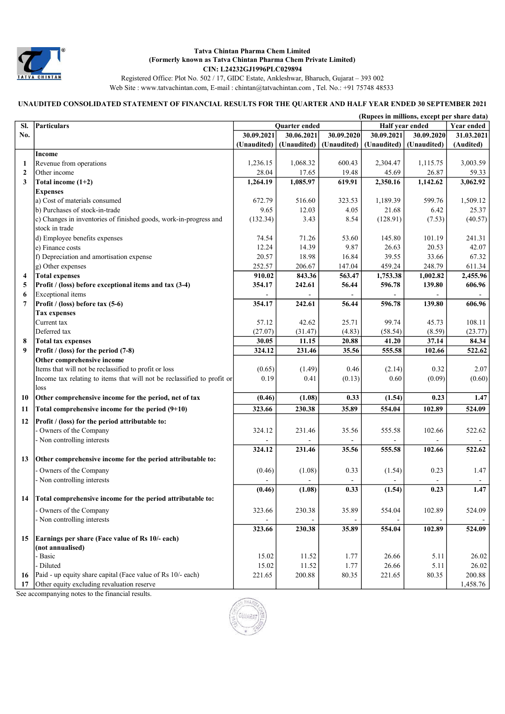

Registered Office: Plot No. 502 / 17, GIDC Estate, Ankleshwar, Bharuch, Gujarat – 393 002 Web Site : www.tatvachintan.com, E-mail : chintan@tatvachintan.com , Tel. No.: +91 75748 48533

# UNAUDITED CONSOLIDATED STATEMENT OF FINANCIAL RESULTS FOR THE QUARTER AND HALF YEAR ENDED 30 SEPTEMBER 2021

|                  |                                                                         |             |               |             | (Rupees in millions, except per share data) |                   |            |
|------------------|-------------------------------------------------------------------------|-------------|---------------|-------------|---------------------------------------------|-------------------|------------|
| SI.              | Particulars                                                             |             | Quarter ended |             | Half year ended                             | <b>Year ended</b> |            |
| No.              |                                                                         | 30.09.2021  | 30.06.2021    | 30.09.2020  | 30.09.2021                                  | 30.09.2020        | 31.03.2021 |
|                  |                                                                         | (Unaudited) | (Unaudited)   | (Unaudited) | (Unaudited)                                 | (Unaudited)       | (Audited)  |
|                  | Income                                                                  |             |               |             |                                             |                   |            |
| 1                | Revenue from operations                                                 | 1,236.15    | 1,068.32      | 600.43      | 2,304.47                                    | 1,115.75          | 3,003.59   |
| $\boldsymbol{2}$ | Other income                                                            | 28.04       | 17.65         | 19.48       | 45.69                                       | 26.87             | 59.33      |
| 3                | Total income $(1+2)$                                                    | 1,264.19    | 1,085.97      | 619.91      | 2,350.16                                    | 1,142.62          | 3,062.92   |
|                  | <b>Expenses</b>                                                         |             |               |             |                                             |                   |            |
|                  | a) Cost of materials consumed                                           | 672.79      | 516.60        | 323.53      | 1,189.39                                    | 599.76            | 1,509.12   |
|                  | b) Purchases of stock-in-trade                                          | 9.65        | 12.03         | 4.05        | 21.68                                       | 6.42              | 25.37      |
|                  | c) Changes in inventories of finished goods, work-in-progress and       | (132.34)    | 3.43          | 8.54        | (128.91)                                    | (7.53)            | (40.57)    |
|                  | stock in trade                                                          |             |               |             |                                             |                   |            |
|                  | d) Employee benefits expenses                                           | 74.54       | 71.26         | 53.60       | 145.80                                      | 101.19            | 241.31     |
|                  | e) Finance costs                                                        | 12.24       | 14.39         | 9.87        | 26.63                                       | 20.53             | 42.07      |
|                  | f) Depreciation and amortisation expense                                | 20.57       | 18.98         | 16.84       | 39.55                                       | 33.66             | 67.32      |
|                  | g) Other expenses                                                       | 252.57      | 206.67        | 147.04      | 459.24                                      | 248.79            | 611.34     |
| 4                | <b>Total expenses</b>                                                   | 910.02      | 843.36        | 563.47      | 1,753.38                                    | 1,002.82          | 2,455.96   |
| 5                | Profit / (loss) before exceptional items and tax (3-4)                  | 354.17      | 242.61        | 56.44       | 596.78                                      | 139.80            | 606.96     |
| 6                | Exceptional items                                                       |             |               |             |                                             |                   |            |
| 7                | Profit / (loss) before tax (5-6)                                        | 354.17      | 242.61        | 56.44       | 596.78                                      | 139.80            | 606.96     |
|                  | <b>Tax expenses</b>                                                     | 57.12       | 42.62         | 25.71       | 99.74                                       | 45.73             | 108.11     |
|                  | Current tax<br>Deferred tax                                             | (27.07)     | (31.47)       | (4.83)      | (58.54)                                     |                   | (23.77)    |
| 8                |                                                                         | 30.05       | 11.15         | 20.88       | 41.20                                       | (8.59)<br>37.14   | 84.34      |
| 9                | <b>Total tax expenses</b><br>Profit / (loss) for the period (7-8)       | 324.12      | 231.46        | 35.56       | 555.58                                      | 102.66            | 522.62     |
|                  | Other comprehensive income                                              |             |               |             |                                             |                   |            |
|                  | Items that will not be reclassified to profit or loss                   | (0.65)      | (1.49)        | 0.46        | (2.14)                                      | 0.32              | 2.07       |
|                  | Income tax relating to items that will not be reclassified to profit or | 0.19        | 0.41          | (0.13)      | 0.60                                        | (0.09)            | (0.60)     |
|                  | loss                                                                    |             |               |             |                                             |                   |            |
| 10               | Other comprehensive income for the period, net of tax                   | (0.46)      | (1.08)        | 0.33        | (1.54)                                      | 0.23              | 1.47       |
| 11               | Total comprehensive income for the period $(9+10)$                      | 323.66      | 230.38        | 35.89       | 554.04                                      | 102.89            | 524.09     |
| 12               | Profit / (loss) for the period attributable to:                         |             |               |             |                                             |                   |            |
|                  | Owners of the Company                                                   | 324.12      | 231.46        | 35.56       | 555.58                                      | 102.66            | 522.62     |
|                  | - Non controlling interests                                             |             |               |             |                                             |                   |            |
|                  |                                                                         | 324.12      | 231.46        | 35.56       | 555.58                                      | 102.66            | 522.62     |
| 13               | Other comprehensive income for the period attributable to:              |             |               |             |                                             |                   |            |
|                  | Owners of the Company                                                   | (0.46)      | (1.08)        | 0.33        | (1.54)                                      | 0.23              | 1.47       |
|                  | - Non controlling interests                                             |             |               |             |                                             |                   | $\sim$     |
|                  |                                                                         | (0.46)      | (1.08)        | 0.33        | (1.54)                                      | 0.23              | 1.47       |
| 14               | Total comprehensive income for the period attributable to:              |             |               |             |                                             |                   |            |
|                  | Owners of the Company                                                   | 323.66      | 230.38        | 35.89       | 554.04                                      | 102.89            | 524.09     |
|                  | - Non controlling interests                                             |             |               |             |                                             |                   |            |
|                  |                                                                         | 323.66      | 230.38        | 35.89       | 554.04                                      | 102.89            | 524.09     |
| 15               | Earnings per share (Face value of Rs 10/- each)                         |             |               |             |                                             |                   |            |
|                  | (not annualised)                                                        |             |               |             |                                             |                   |            |
|                  | Basic                                                                   | 15.02       | 11.52         | 1.77        | 26.66                                       | 5.11              | 26.02      |
|                  | - Diluted                                                               | 15.02       | 11.52         | 1.77        | 26.66                                       | 5.11              | 26.02      |
| 16               | Paid - up equity share capital (Face value of Rs 10/- each)             | 221.65      | 200.88        | 80.35       | 221.65                                      | 80.35             | 200.88     |
| 17               | Other equity excluding revaluation reserve                              |             |               |             |                                             |                   | 1,458.76   |

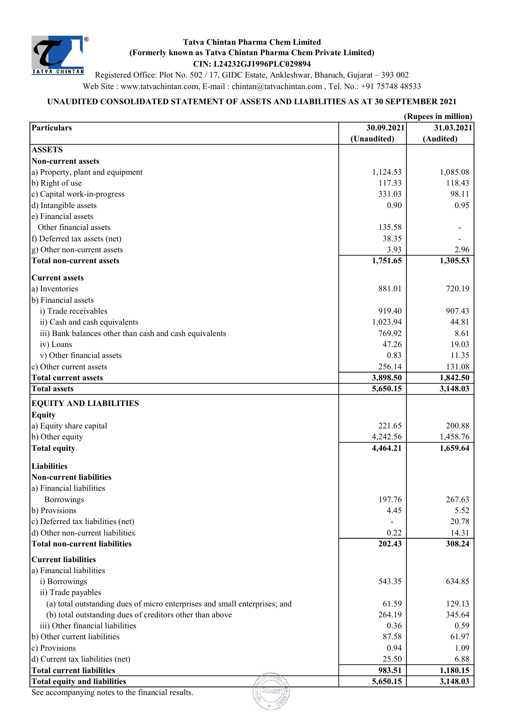

Registered Office: Plot No. 502 / 17, GIDC Estate, Ankleshwar, Bharuch, Gujarat – 393 002 Web Site : www.tatvachintan.com, E-mail : chintan@tatvachintan.com , Tel. No.: +91 75748 48533

# UNAUDITED CONSOLIDATED STATEMENT OF ASSETS AND LIABILITIES AS AT 30 SEPTEMBER 2021

| 30.09.2021<br>(Unaudited)<br>1,124.53<br>117.33 | 31.03.2021<br>(Audited)                                               |
|-------------------------------------------------|-----------------------------------------------------------------------|
|                                                 |                                                                       |
|                                                 |                                                                       |
|                                                 |                                                                       |
|                                                 |                                                                       |
|                                                 | 1,085.08                                                              |
|                                                 | 118.43                                                                |
| 331.03                                          | 98.11                                                                 |
| 0.90                                            | 0.95                                                                  |
|                                                 |                                                                       |
| 135.58                                          |                                                                       |
| 38.35                                           |                                                                       |
| 3.93                                            | 2.96                                                                  |
| 1,751.65                                        | 1,305.53                                                              |
|                                                 |                                                                       |
| 881.01                                          | 720.19                                                                |
|                                                 |                                                                       |
| 919.40                                          | 907.43                                                                |
| 1,023.94                                        | 44.81                                                                 |
| 769.92                                          | 8.61                                                                  |
| 47.26                                           | 19.03                                                                 |
| 0.83                                            | 11.35                                                                 |
| 256.14                                          | 131.08                                                                |
| 3,898.50                                        | 1,842.50                                                              |
| 5,650.15                                        | 3,148.03                                                              |
|                                                 |                                                                       |
|                                                 |                                                                       |
| 221.65                                          | 200.88                                                                |
| 4,242.56                                        | 1,458.76                                                              |
| 4,464.21                                        | 1,659.64                                                              |
|                                                 |                                                                       |
|                                                 |                                                                       |
|                                                 |                                                                       |
|                                                 |                                                                       |
| 197.76                                          | 267.63                                                                |
| 4.45                                            | 5.52                                                                  |
|                                                 | 20.78                                                                 |
| 0.22                                            | 14.31                                                                 |
| 202.43                                          | 308.24                                                                |
|                                                 |                                                                       |
|                                                 |                                                                       |
|                                                 | 634.85                                                                |
|                                                 |                                                                       |
|                                                 | 129.13                                                                |
|                                                 | 345.64                                                                |
|                                                 | 0.59                                                                  |
|                                                 | 61.97                                                                 |
|                                                 | 1.09                                                                  |
|                                                 | 6.88                                                                  |
|                                                 | 1,180.15                                                              |
| 5,650.15                                        | 3,148.03                                                              |
|                                                 |                                                                       |
|                                                 | 543.35<br>61.59<br>264.19<br>0.36<br>87.58<br>0.94<br>25.50<br>983.51 |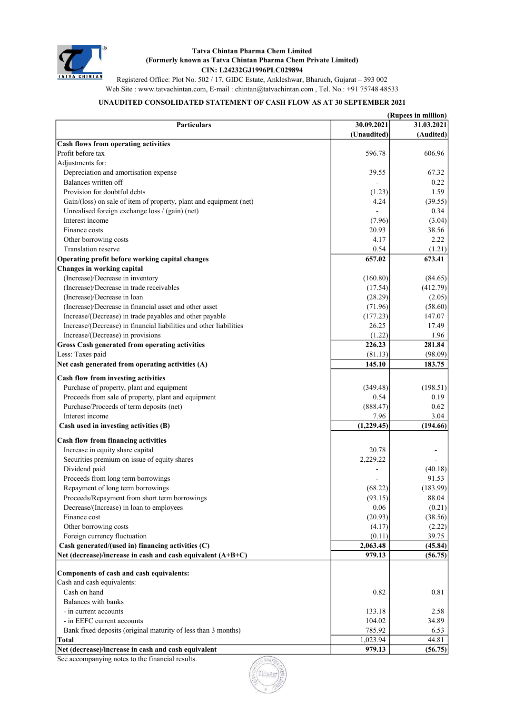

Registered Office: Plot No. 502 / 17, GIDC Estate, Ankleshwar, Bharuch, Gujarat – 393 002 Web Site : www.tatvachintan.com, E-mail : chintan@tatvachintan.com , Tel. No.: +91 75748 48533

# UNAUDITED CONSOLIDATED STATEMENT OF CASH FLOW AS AT 30 SEPTEMBER 2021

|                                                                    |             | (Rupees in million) |
|--------------------------------------------------------------------|-------------|---------------------|
| <b>Particulars</b>                                                 | 30.09.2021  | 31.03.2021          |
|                                                                    | (Unaudited) | (Audited)           |
| Cash flows from operating activities                               |             |                     |
| Profit before tax                                                  | 596.78      | 606.96              |
| Adjustments for:                                                   |             |                     |
| Depreciation and amortisation expense                              | 39.55       | 67.32               |
| Balances written off                                               |             | 0.22                |
| Provision for doubtful debts                                       | (1.23)      | 1.59                |
| Gain/(loss) on sale of item of property, plant and equipment (net) | 4.24        | (39.55)             |
| Unrealised foreign exchange loss / (gain) (net)                    |             | 0.34                |
| Interest income                                                    | (7.96)      | (3.04)              |
| Finance costs                                                      | 20.93       | 38.56               |
| Other borrowing costs                                              | 4.17        | 2.22                |
| Translation reserve                                                | 0.54        | (1.21)              |
| Operating profit before working capital changes                    | 657.02      | 673.41              |
| Changes in working capital                                         |             |                     |
| (Increase)/Decrease in inventory                                   | (160.80)    | (84.65)             |
| (Increase)/Decrease in trade receivables                           | (17.54)     | (412.79)            |
| (Increase)/Decrease in loan                                        | (28.29)     | (2.05)              |
| (Increase)/Decrease in financial asset and other asset             | (71.96)     | (58.60)             |
| Increase/(Decrease) in trade payables and other payable            | (177.23)    | 147.07              |
| Increase/(Decrease) in financial liabilities and other liabilities | 26.25       | 17.49               |
| Increase/(Decrease) in provisions                                  | (1.22)      | 1.96                |
| <b>Gross Cash generated from operating activities</b>              | 226.23      | 281.84              |
| Less: Taxes paid                                                   | (81.13)     | (98.09)             |
| Net cash generated from operating activities (A)                   | 145.10      | 183.75              |
| Cash flow from investing activities                                |             |                     |
| Purchase of property, plant and equipment                          | (349.48)    | (198.51)            |
| Proceeds from sale of property, plant and equipment                | 0.54        | 0.19                |
| Purchase/Proceeds of term deposits (net)                           | (888.47)    | 0.62                |
| Interest income                                                    | 7.96        | 3.04                |
| Cash used in investing activities (B)                              | (1,229.45)  | (194.66)            |
|                                                                    |             |                     |
| Cash flow from financing activities                                |             |                     |
| Increase in equity share capital                                   | 20.78       |                     |
| Securities premium on issue of equity shares                       | 2,229.22    |                     |
| Dividend paid                                                      |             | (40.18)             |
| Proceeds from long term borrowings                                 |             | 91.53               |
| Repayment of long term borrowings                                  | (68.22)     | (183.99)            |
| Proceeds/Repayment from short term borrowings                      | (93.15)     | 88.04               |
| Decrease/(Increase) in loan to employees                           | $0.06\,$    | (0.21)              |
| Finance cost                                                       | (20.93)     | (38.56)             |
| Other borrowing costs                                              | (4.17)      | (2.22)              |
| Foreign currency fluctuation                                       | (0.11)      | 39.75               |
| Cash generated/(used in) financing activities (C)                  | 2,063.48    | (45.84)             |
| Net (decrease)/increase in cash and cash equivalent (A+B+C)        | 979.13      | (56.75)             |
|                                                                    |             |                     |
| Components of cash and cash equivalents:                           |             |                     |
| Cash and cash equivalents:                                         |             |                     |
| Cash on hand                                                       | 0.82        | 0.81                |
| Balances with banks                                                |             |                     |
| - in current accounts                                              | 133.18      | 2.58                |
| - in EEFC current accounts                                         | 104.02      | 34.89               |
| Bank fixed deposits (original maturity of less than 3 months)      | 785.92      | 6.53                |
| <b>Total</b>                                                       | 1,023.94    | 44.81               |
| Net (decrease)/increase in cash and cash equivalent                | 979.13      | (56.75)             |

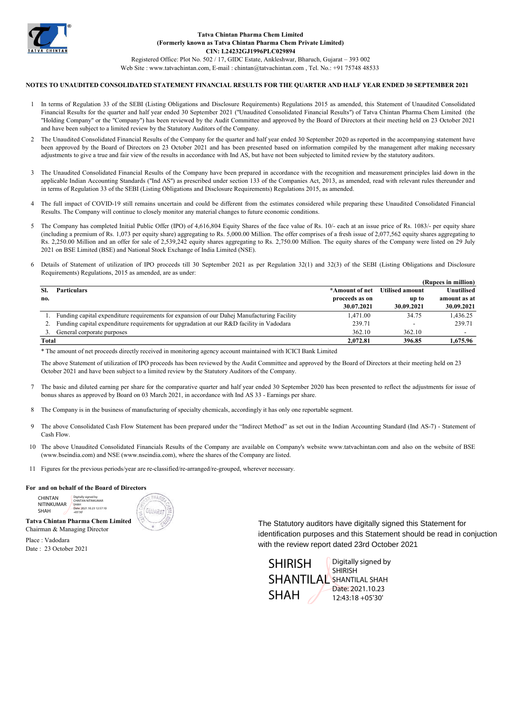

# CIN: L24232GJ1996PLC029894

Registered Office: Plot No. 502 / 17, GIDC Estate, Ankleshwar, Bharuch, Gujarat – 393 002 Web Site : www.tatvachintan.com, E-mail : chintan@tatvachintan.com , Tel. No.: +91 75748 48533

#### NOTES TO UNAUDITED CONSOLIDATED STATEMENT FINANCIAL RESULTS FOR THE QUARTER AND HALF YEAR ENDED 30 SEPTEMBER 2021

- 1 In terms of Regulation 33 of the SEBI (Listing Obligations and Disclosure Requirements) Regulations 2015 as amended, this Statement of Unaudited Consolidated Financial Results for the quarter and half year ended 30 September 2021 ("Unaudited Consolidated Financial Results") of Tatva Chintan Pharma Chem Limited (the "Holding Company" or the "Company") has been reviewed by the Audit Committee and approved by the Board of Directors at their meeting held on 23 October 2021 and have been subject to a limited review by the Statutory Auditors of the Company.
- $\mathcal{D}$ The Unaudited Consolidated Financial Results of the Company for the quarter and half year ended 30 September 2020 as reported in the accompanying statement have been approved by the Board of Directors on 23 October 2021 and has been presented based on information compiled by the management after making necessary adjustments to give a true and fair view of the results in accordance with Ind AS, but have not been subjected to limited review by the statutory auditors.
- 3 The Unaudited Consolidated Financial Results of the Company have been prepared in accordance with the recognition and measurement principles laid down in the applicable Indian Accounting Standards ("Ind AS") as prescribed under section 133 of the Companies Act, 2013, as amended, read with relevant rules thereunder and in terms of Regulation 33 of the SEBI (Listing Obligations and Disclosure Requirements) Regulations 2015, as amended.
- 4 The full impact of COVID-19 still remains uncertain and could be different from the estimates considered while preparing these Unaudited Consolidated Financial Results. The Company will continue to closely monitor any material changes to future economic conditions.
- 5 The Company has completed Initial Public Offer (IPO) of 4,616,804 Equity Shares of the face value of Rs. 10/- each at an issue price of Rs. 1083/- per equity share (including a premium of Rs. 1,073 per equity share) aggregating to Rs. 5,000.00 Million. The offer comprises of a fresh issue of 2,077,562 equity shares aggregating to Rs. 2,250.00 Million and an offer for sale of 2,539,242 equity shares aggregating to Rs. 2,750.00 Million. The equity shares of the Company were listed on 29 July 2021 on BSE Limited (BSE) and National Stock Exchange of India Limited (NSE).
- 6 Details of Statement of utilization of IPO proceeds till 30 September 2021 as per Regulation 32(1) and 32(3) of the SEBI (Listing Obligations and Disclosure Requirements) Regulations, 2015 as amended, are as under:

|       | (Rupees in million)                                                                        |                |                        |                   |  |  |
|-------|--------------------------------------------------------------------------------------------|----------------|------------------------|-------------------|--|--|
| SI.   | <b>Particulars</b>                                                                         | *Amount of net | <b>Utilised amount</b> | <b>Unutilised</b> |  |  |
| no.   |                                                                                            | proceeds as on | up to                  | amount as at      |  |  |
|       |                                                                                            | 30.07.2021     | 30.09.2021             | 30.09.2021        |  |  |
|       | Funding capital expenditure requirements for expansion of our Dahej Manufacturing Facility | 1,471.00       | 34.75                  | 1.436.25          |  |  |
|       | Funding capital expenditure requirements for upgradation at our R&D facility in Vadodara   | 239.71         |                        | 239.71            |  |  |
|       | General corporate purposes                                                                 | 362.10         | 362.10                 |                   |  |  |
| Total |                                                                                            | 2.072.81       | 396.85                 | 1.675.96          |  |  |

\* The amount of net proceeds directly received in monitoring agency account maintained with ICICI Bank Limited

The above Statement of utilization of IPO proceeds has been reviewed by the Audit Committee and approved by the Board of Directors at their meeting held on 23 October 2021 and have been subject to a limited review by the Statutory Auditors of the Company.

- 7 The basic and diluted earning per share for the comparative quarter and half year ended 30 September 2020 has been presented to reflect the adjustments for issue of bonus shares as approved by Board on 03 March 2021, in accordance with Ind AS 33 - Earnings per share.
- 8 The Company is in the business of manufacturing of specialty chemicals, accordingly it has only one reportable segment.
- 9 The above Consolidated Cash Flow Statement has been prepared under the "Indirect Method" as set out in the Indian Accounting Standard (Ind AS-7) - Statement of Cash Flow.
- 10 The above Unaudited Consolidated Financials Results of the Company are available on Company's website www.tatvachintan.com and also on the website of BSE (www.bseindia.com) and NSE (www.nseindia.com), where the shares of the Company are listed.
- 11 Figures for the previous periods/year are re-classified/re-arranged/re-grouped, wherever necessary.

#### For and on behalf of the Board of Directors

CHINTAN NITINKUMAR SHAH Digitally signed by CHINTAN NITINKUMAR SHAH Date: 2021.10.23 12:57:10 +05'30'



Tatva Chintan Pharma Chem Limited Chairman & Managing Director

Place : Vadodara Date : 23 October 2021 The Statutory auditors have digitally signed this Statement for identification purposes and this Statement should be read in conjuction with the review report dated 23rd October 2021

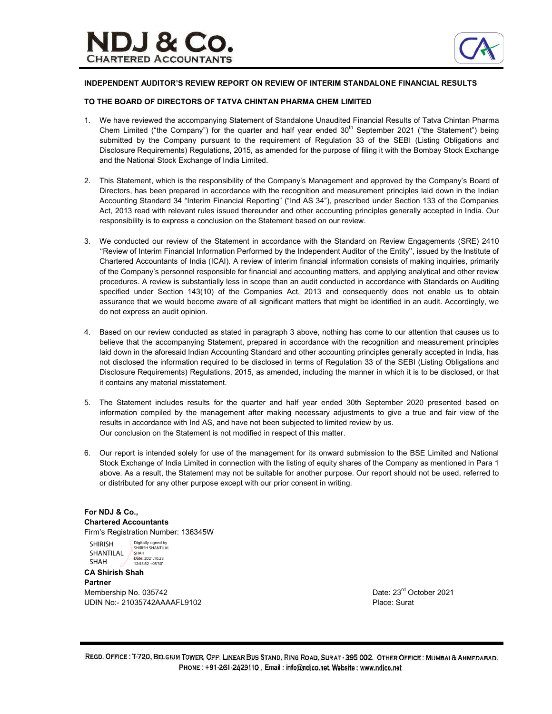

### INDEPENDENT AUDITOR'S REVIEW REPORT ON REVIEW OF INTERIM STANDALONE FINANCIAL RESULTS

### TO THE BOARD OF DIRECTORS OF TATVA CHINTAN PHARMA CHEM LIMITED

- 1. We have reviewed the accompanying Statement of Standalone Unaudited Financial Results of Tatva Chintan Pharma Chem Limited ("the Company") for the quarter and half year ended  $30<sup>th</sup>$  September 2021 ("the Statement") being submitted by the Company pursuant to the requirement of Regulation 33 of the SEBI (Listing Obligations and Disclosure Requirements) Regulations, 2015, as amended for the purpose of filing it with the Bombay Stock Exchange and the National Stock Exchange of India Limited.
- 2. This Statement, which is the responsibility of the Company's Management and approved by the Company's Board of Directors, has been prepared in accordance with the recognition and measurement principles laid down in the Indian Accounting Standard 34 "Interim Financial Reporting" ("Ind AS 34"), prescribed under Section 133 of the Companies Act, 2013 read with relevant rules issued thereunder and other accounting principles generally accepted in India. Our responsibility is to express a conclusion on the Statement based on our review.
- 3. We conducted our review of the Statement in accordance with the Standard on Review Engagements (SRE) 2410 ''Review of Interim Financial Information Performed by the Independent Auditor of the Entity'', issued by the Institute of Chartered Accountants of India (ICAI). A review of interim financial information consists of making inquiries, primarily of the Company's personnel responsible for financial and accounting matters, and applying analytical and other review procedures. A review is substantially less in scope than an audit conducted in accordance with Standards on Auditing specified under Section 143(10) of the Companies Act, 2013 and consequently does not enable us to obtain assurance that we would become aware of all significant matters that might be identified in an audit. Accordingly, we do not express an audit opinion.
- 4. Based on our review conducted as stated in paragraph 3 above, nothing has come to our attention that causes us to believe that the accompanying Statement, prepared in accordance with the recognition and measurement principles laid down in the aforesaid Indian Accounting Standard and other accounting principles generally accepted in India, has not disclosed the information required to be disclosed in terms of Regulation 33 of the SEBI (Listing Obligations and Disclosure Requirements) Regulations, 2015, as amended, including the manner in which it is to be disclosed, or that it contains any material misstatement.
- 5. The Statement includes results for the quarter and half year ended 30th September 2020 presented based on information compiled by the management after making necessary adjustments to give a true and fair view of the results in accordance with Ind AS, and have not been subjected to limited review by us. Our conclusion on the Statement is not modified in respect of this matter.
- 6. Our report is intended solely for use of the management for its onward submission to the BSE Limited and National Stock Exchange of India Limited in connection with the listing of equity shares of the Company as mentioned in Para 1 above. As a result, the Statement may not be suitable for another purpose. Our report should not be used, referred to or distributed for any other purpose except with our prior consent in writing.

### For NDJ & Co., Chartered Accountants Firm's Registration Number: 136345W

SHIRISH SHANTILAL SHAH Digitally signed by SHIRISH SHANTILAL SHAH<br>Date: 2021.10.23 12:55:52 +05'30'

CA Shirish Shah Partner Membership No. 035742 Date: 23<sup>rd</sup> October 2021 UDIN No:- 21035742AAAAFL9102 Place: Surat

REGD. OFFICE : T-720, BELGIUM TOWER, OPP. LINEAR BUS STAND, RING ROAD, SURAT - 395 002. OTHER OFFICE : MUMBAI & AHMEDABAD. PHONE: +91-261-2429110, Email: info@ndjco.net, Website: www.ndjco.net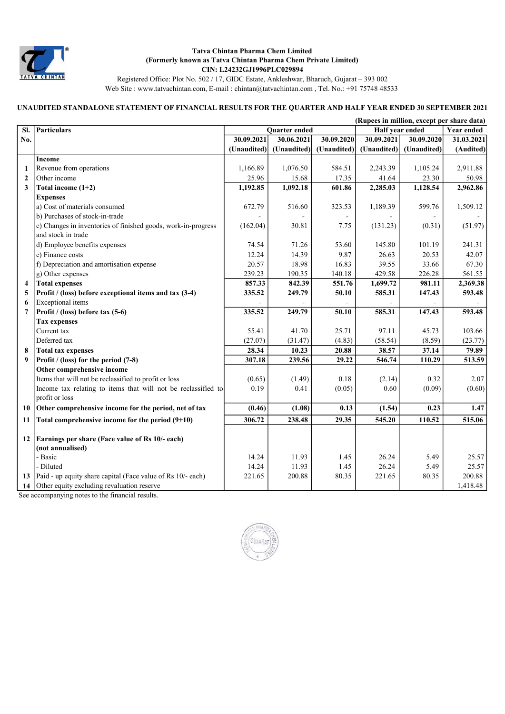

Registered Office: Plot No. 502 / 17, GIDC Estate, Ankleshwar, Bharuch, Gujarat – 393 002 Web Site : www.tatvachintan.com, E-mail : chintan@tatvachintan.com , Tel. No.: +91 75748 48533

# UNAUDITED STANDALONE STATEMENT OF FINANCIAL RESULTS FOR THE QUARTER AND HALF YEAR ENDED 30 SEPTEMBER 2021

|                |                                                               |             |                      |             | (Rupees in million, except per share data) |                   |            |
|----------------|---------------------------------------------------------------|-------------|----------------------|-------------|--------------------------------------------|-------------------|------------|
| SI.            | <b>Particulars</b>                                            |             | <b>Ouarter</b> ended |             | Half year ended                            | <b>Year ended</b> |            |
| No.            |                                                               | 30.09.2021  | 30.06.2021           | 30.09.2020  | 30.09.2021                                 | 30.09.2020        | 31.03.2021 |
|                |                                                               | (Unaudited) | (Unaudited)          | (Unaudited) | (Unaudited)                                | (Unaudited)       | (Audited)  |
|                | Income                                                        |             |                      |             |                                            |                   |            |
| 1              | Revenue from operations                                       | 1,166.89    | 1,076.50             | 584.51      | 2,243.39                                   | 1,105.24          | 2,911.88   |
| $\mathbf{2}$   | Other income                                                  | 25.96       | 15.68                | 17.35       | 41.64                                      | 23.30             | 50.98      |
| 3              | Total income $(1+2)$                                          | 1,192.85    | 1,092.18             | 601.86      | 2,285.03                                   | 1,128.54          | 2,962.86   |
|                | <b>Expenses</b>                                               |             |                      |             |                                            |                   |            |
|                | a) Cost of materials consumed                                 | 672.79      | 516.60               | 323.53      | 1,189.39                                   | 599.76            | 1,509.12   |
|                | b) Purchases of stock-in-trade                                |             |                      |             |                                            |                   |            |
|                | c) Changes in inventories of finished goods, work-in-progress | (162.04)    | 30.81                | 7.75        | (131.23)                                   | (0.31)            | (51.97)    |
|                | and stock in trade                                            |             |                      |             |                                            |                   |            |
|                | d) Employee benefits expenses                                 | 74.54       | 71.26                | 53.60       | 145.80                                     | 101.19            | 241.31     |
|                | e) Finance costs                                              | 12.24       | 14.39                | 9.87        | 26.63                                      | 20.53             | 42.07      |
|                | f) Depreciation and amortisation expense                      | 20.57       | 18.98                | 16.83       | 39.55                                      | 33.66             | 67.30      |
|                | g) Other expenses                                             | 239.23      | 190.35               | 140.18      | 429.58                                     | 226.28            | 561.55     |
| 4              | <b>Total expenses</b>                                         | 857.33      | 842.39               | 551.76      | 1,699.72                                   | 981.11            | 2,369.38   |
| 5              | Profit / (loss) before exceptional items and tax (3-4)        | 335.52      | 249.79               | 50.10       | 585.31                                     | 147.43            | 593.48     |
| 6              | Exceptional items                                             |             |                      |             |                                            |                   |            |
| $\overline{7}$ | Profit / (loss) before tax (5-6)                              | 335.52      | 249.79               | 50.10       | 585.31                                     | 147.43            | 593.48     |
|                | <b>Tax expenses</b>                                           |             |                      |             |                                            |                   |            |
|                | Current tax                                                   | 55.41       | 41.70                | 25.71       | 97.11                                      | 45.73             | 103.66     |
|                | Deferred tax                                                  | (27.07)     | (31.47)              | (4.83)      | (58.54)                                    | (8.59)            | (23.77)    |
| 8              | <b>Total tax expenses</b>                                     | 28.34       | 10.23                | 20.88       | 38.57                                      | 37.14             | 79.89      |
| 9              | Profit / (loss) for the period (7-8)                          | 307.18      | 239.56               | 29.22       | 546.74                                     | 110.29            | 513.59     |
|                | Other comprehensive income                                    |             |                      |             |                                            |                   |            |
|                | Items that will not be reclassified to profit or loss         | (0.65)      | (1.49)               | 0.18        | (2.14)                                     | 0.32              | 2.07       |
|                | Income tax relating to items that will not be reclassified to | 0.19        | 0.41                 | (0.05)      | 0.60                                       | (0.09)            | (0.60)     |
|                | profit or loss                                                |             |                      |             |                                            |                   |            |
| 10             | Other comprehensive income for the period, net of tax         | (0.46)      | (1.08)               | 0.13        | (1.54)                                     | 0.23              | 1.47       |
| 11             | Total comprehensive income for the period $(9+10)$            | 306.72      | 238.48               | 29.35       | 545.20                                     | 110.52            | 515.06     |
|                |                                                               |             |                      |             |                                            |                   |            |
| 12             | Earnings per share (Face value of Rs 10/- each)               |             |                      |             |                                            |                   |            |
|                | (not annualised)<br>- Basic                                   | 14.24       | 11.93                | 1.45        | 26.24                                      | 5.49              | 25.57      |
|                | - Diluted                                                     | 14.24       | 11.93                | 1.45        | 26.24                                      | 5.49              | 25.57      |
| 13             |                                                               | 221.65      | 200.88               |             | 221.65                                     |                   | 200.88     |
|                | Paid - up equity share capital (Face value of Rs 10/- each)   |             |                      | 80.35       |                                            | 80.35             |            |
| 14             | Other equity excluding revaluation reserve                    |             |                      |             |                                            |                   | 1,418.48   |

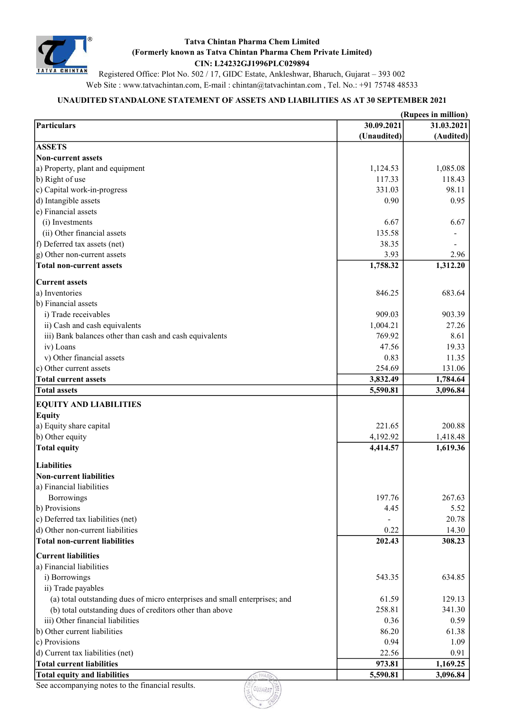

Registered Office: Plot No. 502 / 17, GIDC Estate, Ankleshwar, Bharuch, Gujarat – 393 002 Web Site : www.tatvachintan.com, E-mail : chintan@tatvachintan.com , Tel. No.: +91 75748 48533

# UNAUDITED STANDALONE STATEMENT OF ASSETS AND LIABILITIES AS AT 30 SEPTEMBER 2021

| (Unaudited)<br><b>ASSETS</b><br>Non-current assets<br>1,085.08<br>a) Property, plant and equipment<br>1,124.53<br>118.43<br>b) Right of use<br>117.33<br>c) Capital work-in-progress<br>98.11<br>331.03<br>d) Intangible assets<br>0.90<br>e) Financial assets<br>(i) Investments<br>6.67<br>(ii) Other financial assets<br>135.58<br>f) Deferred tax assets (net)<br>38.35<br>g) Other non-current assets<br>3.93<br><b>Total non-current assets</b><br>1,758.32<br><b>Current assets</b><br>a) Inventories<br>846.25<br>b) Financial assets<br>i) Trade receivables<br>909.03<br>ii) Cash and cash equivalents<br>1,004.21<br>iii) Bank balances other than cash and cash equivalents<br>769.92<br>iv) Loans<br>47.56<br>v) Other financial assets<br>0.83<br>c) Other current assets<br>254.69<br><b>Total current assets</b><br>3,832.49<br><b>Total assets</b><br>5,590.81<br><b>EQUITY AND LIABILITIES</b><br><b>Equity</b><br>a) Equity share capital<br>221.65<br>b) Other equity<br>4,192.92<br>1,418.48<br><b>Total equity</b><br>4,414.57<br>1,619.36<br><b>Liabilities</b><br><b>Non-current liabilities</b><br>a) Financial liabilities<br>197.76<br>267.63<br>Borrowings<br>b) Provisions<br>4.45<br>c) Deferred tax liabilities (net)<br>20.78<br>d) Other non-current liabilities<br>14.30<br>0.22<br><b>Total non-current liabilities</b><br>202.43<br>308.23<br><b>Current liabilities</b> | (Rupees in million)      |            |            |  |  |
|--------------------------------------------------------------------------------------------------------------------------------------------------------------------------------------------------------------------------------------------------------------------------------------------------------------------------------------------------------------------------------------------------------------------------------------------------------------------------------------------------------------------------------------------------------------------------------------------------------------------------------------------------------------------------------------------------------------------------------------------------------------------------------------------------------------------------------------------------------------------------------------------------------------------------------------------------------------------------------------------------------------------------------------------------------------------------------------------------------------------------------------------------------------------------------------------------------------------------------------------------------------------------------------------------------------------------------------------------------------------------------------------------------------|--------------------------|------------|------------|--|--|
|                                                                                                                                                                                                                                                                                                                                                                                                                                                                                                                                                                                                                                                                                                                                                                                                                                                                                                                                                                                                                                                                                                                                                                                                                                                                                                                                                                                                              | <b>Particulars</b>       | 30.09.2021 | 31.03.2021 |  |  |
|                                                                                                                                                                                                                                                                                                                                                                                                                                                                                                                                                                                                                                                                                                                                                                                                                                                                                                                                                                                                                                                                                                                                                                                                                                                                                                                                                                                                              |                          |            | (Audited)  |  |  |
|                                                                                                                                                                                                                                                                                                                                                                                                                                                                                                                                                                                                                                                                                                                                                                                                                                                                                                                                                                                                                                                                                                                                                                                                                                                                                                                                                                                                              |                          |            |            |  |  |
|                                                                                                                                                                                                                                                                                                                                                                                                                                                                                                                                                                                                                                                                                                                                                                                                                                                                                                                                                                                                                                                                                                                                                                                                                                                                                                                                                                                                              |                          |            |            |  |  |
|                                                                                                                                                                                                                                                                                                                                                                                                                                                                                                                                                                                                                                                                                                                                                                                                                                                                                                                                                                                                                                                                                                                                                                                                                                                                                                                                                                                                              |                          |            |            |  |  |
|                                                                                                                                                                                                                                                                                                                                                                                                                                                                                                                                                                                                                                                                                                                                                                                                                                                                                                                                                                                                                                                                                                                                                                                                                                                                                                                                                                                                              |                          |            |            |  |  |
|                                                                                                                                                                                                                                                                                                                                                                                                                                                                                                                                                                                                                                                                                                                                                                                                                                                                                                                                                                                                                                                                                                                                                                                                                                                                                                                                                                                                              |                          |            |            |  |  |
|                                                                                                                                                                                                                                                                                                                                                                                                                                                                                                                                                                                                                                                                                                                                                                                                                                                                                                                                                                                                                                                                                                                                                                                                                                                                                                                                                                                                              |                          |            | 0.95       |  |  |
|                                                                                                                                                                                                                                                                                                                                                                                                                                                                                                                                                                                                                                                                                                                                                                                                                                                                                                                                                                                                                                                                                                                                                                                                                                                                                                                                                                                                              |                          |            |            |  |  |
|                                                                                                                                                                                                                                                                                                                                                                                                                                                                                                                                                                                                                                                                                                                                                                                                                                                                                                                                                                                                                                                                                                                                                                                                                                                                                                                                                                                                              |                          |            | 6.67       |  |  |
|                                                                                                                                                                                                                                                                                                                                                                                                                                                                                                                                                                                                                                                                                                                                                                                                                                                                                                                                                                                                                                                                                                                                                                                                                                                                                                                                                                                                              |                          |            |            |  |  |
|                                                                                                                                                                                                                                                                                                                                                                                                                                                                                                                                                                                                                                                                                                                                                                                                                                                                                                                                                                                                                                                                                                                                                                                                                                                                                                                                                                                                              |                          |            |            |  |  |
|                                                                                                                                                                                                                                                                                                                                                                                                                                                                                                                                                                                                                                                                                                                                                                                                                                                                                                                                                                                                                                                                                                                                                                                                                                                                                                                                                                                                              |                          |            | 2.96       |  |  |
|                                                                                                                                                                                                                                                                                                                                                                                                                                                                                                                                                                                                                                                                                                                                                                                                                                                                                                                                                                                                                                                                                                                                                                                                                                                                                                                                                                                                              |                          |            | 1,312.20   |  |  |
|                                                                                                                                                                                                                                                                                                                                                                                                                                                                                                                                                                                                                                                                                                                                                                                                                                                                                                                                                                                                                                                                                                                                                                                                                                                                                                                                                                                                              |                          |            |            |  |  |
|                                                                                                                                                                                                                                                                                                                                                                                                                                                                                                                                                                                                                                                                                                                                                                                                                                                                                                                                                                                                                                                                                                                                                                                                                                                                                                                                                                                                              |                          |            | 683.64     |  |  |
|                                                                                                                                                                                                                                                                                                                                                                                                                                                                                                                                                                                                                                                                                                                                                                                                                                                                                                                                                                                                                                                                                                                                                                                                                                                                                                                                                                                                              |                          |            |            |  |  |
|                                                                                                                                                                                                                                                                                                                                                                                                                                                                                                                                                                                                                                                                                                                                                                                                                                                                                                                                                                                                                                                                                                                                                                                                                                                                                                                                                                                                              |                          |            | 903.39     |  |  |
|                                                                                                                                                                                                                                                                                                                                                                                                                                                                                                                                                                                                                                                                                                                                                                                                                                                                                                                                                                                                                                                                                                                                                                                                                                                                                                                                                                                                              |                          |            | 27.26      |  |  |
|                                                                                                                                                                                                                                                                                                                                                                                                                                                                                                                                                                                                                                                                                                                                                                                                                                                                                                                                                                                                                                                                                                                                                                                                                                                                                                                                                                                                              |                          |            | 8.61       |  |  |
|                                                                                                                                                                                                                                                                                                                                                                                                                                                                                                                                                                                                                                                                                                                                                                                                                                                                                                                                                                                                                                                                                                                                                                                                                                                                                                                                                                                                              |                          |            | 19.33      |  |  |
|                                                                                                                                                                                                                                                                                                                                                                                                                                                                                                                                                                                                                                                                                                                                                                                                                                                                                                                                                                                                                                                                                                                                                                                                                                                                                                                                                                                                              |                          |            | 11.35      |  |  |
|                                                                                                                                                                                                                                                                                                                                                                                                                                                                                                                                                                                                                                                                                                                                                                                                                                                                                                                                                                                                                                                                                                                                                                                                                                                                                                                                                                                                              |                          |            | 131.06     |  |  |
|                                                                                                                                                                                                                                                                                                                                                                                                                                                                                                                                                                                                                                                                                                                                                                                                                                                                                                                                                                                                                                                                                                                                                                                                                                                                                                                                                                                                              |                          |            | 1,784.64   |  |  |
|                                                                                                                                                                                                                                                                                                                                                                                                                                                                                                                                                                                                                                                                                                                                                                                                                                                                                                                                                                                                                                                                                                                                                                                                                                                                                                                                                                                                              |                          |            | 3,096.84   |  |  |
|                                                                                                                                                                                                                                                                                                                                                                                                                                                                                                                                                                                                                                                                                                                                                                                                                                                                                                                                                                                                                                                                                                                                                                                                                                                                                                                                                                                                              |                          |            |            |  |  |
|                                                                                                                                                                                                                                                                                                                                                                                                                                                                                                                                                                                                                                                                                                                                                                                                                                                                                                                                                                                                                                                                                                                                                                                                                                                                                                                                                                                                              |                          |            |            |  |  |
|                                                                                                                                                                                                                                                                                                                                                                                                                                                                                                                                                                                                                                                                                                                                                                                                                                                                                                                                                                                                                                                                                                                                                                                                                                                                                                                                                                                                              |                          |            | 200.88     |  |  |
|                                                                                                                                                                                                                                                                                                                                                                                                                                                                                                                                                                                                                                                                                                                                                                                                                                                                                                                                                                                                                                                                                                                                                                                                                                                                                                                                                                                                              |                          |            |            |  |  |
|                                                                                                                                                                                                                                                                                                                                                                                                                                                                                                                                                                                                                                                                                                                                                                                                                                                                                                                                                                                                                                                                                                                                                                                                                                                                                                                                                                                                              |                          |            |            |  |  |
|                                                                                                                                                                                                                                                                                                                                                                                                                                                                                                                                                                                                                                                                                                                                                                                                                                                                                                                                                                                                                                                                                                                                                                                                                                                                                                                                                                                                              |                          |            |            |  |  |
|                                                                                                                                                                                                                                                                                                                                                                                                                                                                                                                                                                                                                                                                                                                                                                                                                                                                                                                                                                                                                                                                                                                                                                                                                                                                                                                                                                                                              |                          |            |            |  |  |
|                                                                                                                                                                                                                                                                                                                                                                                                                                                                                                                                                                                                                                                                                                                                                                                                                                                                                                                                                                                                                                                                                                                                                                                                                                                                                                                                                                                                              |                          |            |            |  |  |
|                                                                                                                                                                                                                                                                                                                                                                                                                                                                                                                                                                                                                                                                                                                                                                                                                                                                                                                                                                                                                                                                                                                                                                                                                                                                                                                                                                                                              |                          |            |            |  |  |
|                                                                                                                                                                                                                                                                                                                                                                                                                                                                                                                                                                                                                                                                                                                                                                                                                                                                                                                                                                                                                                                                                                                                                                                                                                                                                                                                                                                                              |                          |            |            |  |  |
|                                                                                                                                                                                                                                                                                                                                                                                                                                                                                                                                                                                                                                                                                                                                                                                                                                                                                                                                                                                                                                                                                                                                                                                                                                                                                                                                                                                                              |                          |            | 5.52       |  |  |
|                                                                                                                                                                                                                                                                                                                                                                                                                                                                                                                                                                                                                                                                                                                                                                                                                                                                                                                                                                                                                                                                                                                                                                                                                                                                                                                                                                                                              |                          |            |            |  |  |
|                                                                                                                                                                                                                                                                                                                                                                                                                                                                                                                                                                                                                                                                                                                                                                                                                                                                                                                                                                                                                                                                                                                                                                                                                                                                                                                                                                                                              |                          |            |            |  |  |
|                                                                                                                                                                                                                                                                                                                                                                                                                                                                                                                                                                                                                                                                                                                                                                                                                                                                                                                                                                                                                                                                                                                                                                                                                                                                                                                                                                                                              |                          |            |            |  |  |
|                                                                                                                                                                                                                                                                                                                                                                                                                                                                                                                                                                                                                                                                                                                                                                                                                                                                                                                                                                                                                                                                                                                                                                                                                                                                                                                                                                                                              |                          |            |            |  |  |
|                                                                                                                                                                                                                                                                                                                                                                                                                                                                                                                                                                                                                                                                                                                                                                                                                                                                                                                                                                                                                                                                                                                                                                                                                                                                                                                                                                                                              | a) Financial liabilities |            |            |  |  |
| i) Borrowings<br>543.35                                                                                                                                                                                                                                                                                                                                                                                                                                                                                                                                                                                                                                                                                                                                                                                                                                                                                                                                                                                                                                                                                                                                                                                                                                                                                                                                                                                      |                          |            | 634.85     |  |  |
| ii) Trade payables                                                                                                                                                                                                                                                                                                                                                                                                                                                                                                                                                                                                                                                                                                                                                                                                                                                                                                                                                                                                                                                                                                                                                                                                                                                                                                                                                                                           |                          |            |            |  |  |
| (a) total outstanding dues of micro enterprises and small enterprises; and<br>61.59                                                                                                                                                                                                                                                                                                                                                                                                                                                                                                                                                                                                                                                                                                                                                                                                                                                                                                                                                                                                                                                                                                                                                                                                                                                                                                                          |                          |            | 129.13     |  |  |
| 258.81<br>(b) total outstanding dues of creditors other than above                                                                                                                                                                                                                                                                                                                                                                                                                                                                                                                                                                                                                                                                                                                                                                                                                                                                                                                                                                                                                                                                                                                                                                                                                                                                                                                                           |                          |            | 341.30     |  |  |
| iii) Other financial liabilities<br>0.36                                                                                                                                                                                                                                                                                                                                                                                                                                                                                                                                                                                                                                                                                                                                                                                                                                                                                                                                                                                                                                                                                                                                                                                                                                                                                                                                                                     |                          |            | 0.59       |  |  |
| b) Other current liabilities<br>86.20                                                                                                                                                                                                                                                                                                                                                                                                                                                                                                                                                                                                                                                                                                                                                                                                                                                                                                                                                                                                                                                                                                                                                                                                                                                                                                                                                                        |                          |            | 61.38      |  |  |
| c) Provisions<br>0.94                                                                                                                                                                                                                                                                                                                                                                                                                                                                                                                                                                                                                                                                                                                                                                                                                                                                                                                                                                                                                                                                                                                                                                                                                                                                                                                                                                                        |                          |            | 1.09       |  |  |
| d) Current tax liabilities (net)<br>22.56                                                                                                                                                                                                                                                                                                                                                                                                                                                                                                                                                                                                                                                                                                                                                                                                                                                                                                                                                                                                                                                                                                                                                                                                                                                                                                                                                                    |                          |            | 0.91       |  |  |
| <b>Total current liabilities</b><br>973.81                                                                                                                                                                                                                                                                                                                                                                                                                                                                                                                                                                                                                                                                                                                                                                                                                                                                                                                                                                                                                                                                                                                                                                                                                                                                                                                                                                   |                          |            | 1,169.25   |  |  |
| <b>Total equity and liabilities</b><br>5,590.81                                                                                                                                                                                                                                                                                                                                                                                                                                                                                                                                                                                                                                                                                                                                                                                                                                                                                                                                                                                                                                                                                                                                                                                                                                                                                                                                                              |                          |            | 3,096.84   |  |  |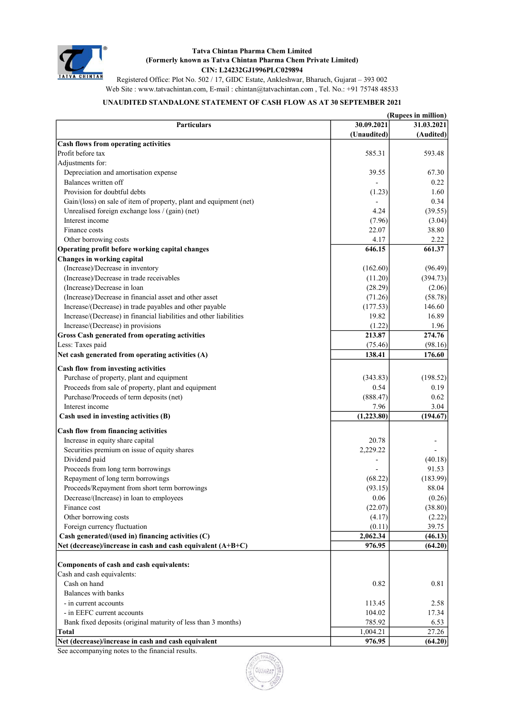

Registered Office: Plot No. 502 / 17, GIDC Estate, Ankleshwar, Bharuch, Gujarat – 393 002 Web Site : www.tatvachintan.com, E-mail : chintan@tatvachintan.com , Tel. No.: +91 75748 48533

# UNAUDITED STANDALONE STATEMENT OF CASH FLOW AS AT 30 SEPTEMBER 2021

| (Rupees in million)                                                |             |            |  |  |
|--------------------------------------------------------------------|-------------|------------|--|--|
| <b>Particulars</b>                                                 | 30.09.2021  | 31.03.2021 |  |  |
|                                                                    | (Unaudited) | (Audited)  |  |  |
| <b>Cash flows from operating activities</b>                        |             |            |  |  |
| Profit before tax                                                  | 585.31      | 593.48     |  |  |
| Adjustments for:                                                   |             |            |  |  |
| Depreciation and amortisation expense                              | 39.55       | 67.30      |  |  |
| Balances written off                                               |             | 0.22       |  |  |
| Provision for doubtful debts                                       | (1.23)      | 1.60       |  |  |
| Gain/(loss) on sale of item of property, plant and equipment (net) |             | 0.34       |  |  |
| Unrealised foreign exchange loss / (gain) (net)                    | 4.24        | (39.55)    |  |  |
| Interest income                                                    | (7.96)      | (3.04)     |  |  |
| Finance costs                                                      | 22.07       | 38.80      |  |  |
| Other borrowing costs                                              | 4.17        | 2.22       |  |  |
| Operating profit before working capital changes                    | 646.15      | 661.37     |  |  |
| <b>Changes in working capital</b>                                  |             |            |  |  |
| (Increase)/Decrease in inventory                                   | (162.60)    | (96.49)    |  |  |
| (Increase)/Decrease in trade receivables                           | (11.20)     | (394.73)   |  |  |
| (Increase)/Decrease in loan                                        | (28.29)     | (2.06)     |  |  |
| (Increase)/Decrease in financial asset and other asset             | (71.26)     | (58.78)    |  |  |
| Increase/(Decrease) in trade payables and other payable            | (177.53)    | 146.60     |  |  |
| Increase/(Decrease) in financial liabilities and other liabilities | 19.82       | 16.89      |  |  |
| Increase/(Decrease) in provisions                                  | (1.22)      | 1.96       |  |  |
| Gross Cash generated from operating activities                     | 213.87      | 274.76     |  |  |
| Less: Taxes paid                                                   | (75.46)     | (98.16)    |  |  |
| Net cash generated from operating activities (A)                   | 138.41      | 176.60     |  |  |
|                                                                    |             |            |  |  |
| Cash flow from investing activities                                |             |            |  |  |
| Purchase of property, plant and equipment                          | (343.83)    | (198.52)   |  |  |
| Proceeds from sale of property, plant and equipment                | 0.54        | 0.19       |  |  |
| Purchase/Proceeds of term deposits (net)                           | (888.47)    | 0.62       |  |  |
| Interest income                                                    | 7.96        | 3.04       |  |  |
| Cash used in investing activities (B)                              | (1,223.80)  | (194.67)   |  |  |
| Cash flow from financing activities                                |             |            |  |  |
| Increase in equity share capital                                   | 20.78       |            |  |  |
| Securities premium on issue of equity shares                       | 2,229.22    |            |  |  |
| Dividend paid                                                      |             | (40.18)    |  |  |
| Proceeds from long term borrowings                                 |             | 91.53      |  |  |
| Repayment of long term borrowings                                  | (68.22)     | (183.99)   |  |  |
| Proceeds/Repayment from short term borrowings                      | (93.15)     | 88.04      |  |  |
| Decrease/(Increase) in loan to employees                           | 0.06        | (0.26)     |  |  |
| Finance cost                                                       | (22.07)     | (38.80)    |  |  |
| Other borrowing costs                                              | (4.17)      | (2.22)     |  |  |
| Foreign currency fluctuation                                       | (0.11)      | 39.75      |  |  |
| Cash generated/(used in) financing activities (C)                  | 2,062.34    | (46.13)    |  |  |
| Net (decrease)/increase in cash and cash equivalent (A+B+C)        | 976.95      | (64.20)    |  |  |
|                                                                    |             |            |  |  |
| Components of cash and cash equivalents:                           |             |            |  |  |
| Cash and cash equivalents:                                         |             |            |  |  |
| Cash on hand                                                       | 0.82        | 0.81       |  |  |
| Balances with banks                                                |             |            |  |  |
|                                                                    |             |            |  |  |
| - in current accounts<br>- in EEFC current accounts                | 113.45      | 2.58       |  |  |
|                                                                    | 104.02      | 17.34      |  |  |
| Bank fixed deposits (original maturity of less than 3 months)      | 785.92      | 6.53       |  |  |
| <b>Total</b>                                                       | 1,004.21    | 27.26      |  |  |
| Net (decrease)/increase in cash and cash equivalent                | 976.95      | (64.20)    |  |  |